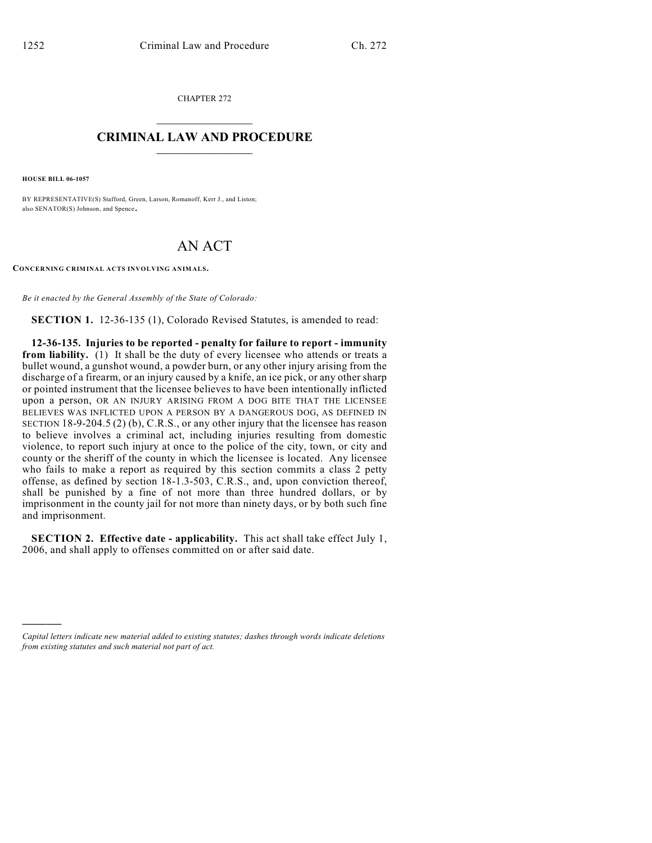CHAPTER 272  $\mathcal{L}_\text{max}$  . The set of the set of the set of the set of the set of the set of the set of the set of the set of the set of the set of the set of the set of the set of the set of the set of the set of the set of the set

## **CRIMINAL LAW AND PROCEDURE**  $\frac{1}{2}$  ,  $\frac{1}{2}$  ,  $\frac{1}{2}$  ,  $\frac{1}{2}$  ,  $\frac{1}{2}$  ,  $\frac{1}{2}$  ,  $\frac{1}{2}$

**HOUSE BILL 06-1057**

)))))

BY REPRESENTATIVE(S) Stafford, Green, Larson, Romanoff, Kerr J., and Liston; also SENATOR(S) Johnson, and Spence.

## AN ACT

**CONCERNING CRIMINAL ACTS INVOLVING ANIMALS.**

*Be it enacted by the General Assembly of the State of Colorado:*

**SECTION 1.** 12-36-135 (1), Colorado Revised Statutes, is amended to read:

**12-36-135. Injuries to be reported - penalty for failure to report - immunity from liability.** (1) It shall be the duty of every licensee who attends or treats a bullet wound, a gunshot wound, a powder burn, or any other injury arising from the discharge of a firearm, or an injury caused by a knife, an ice pick, or any other sharp or pointed instrument that the licensee believes to have been intentionally inflicted upon a person, OR AN INJURY ARISING FROM A DOG BITE THAT THE LICENSEE BELIEVES WAS INFLICTED UPON A PERSON BY A DANGEROUS DOG, AS DEFINED IN SECTION 18-9-204.5 (2) (b), C.R.S., or any other injury that the licensee has reason to believe involves a criminal act, including injuries resulting from domestic violence, to report such injury at once to the police of the city, town, or city and county or the sheriff of the county in which the licensee is located. Any licensee who fails to make a report as required by this section commits a class 2 petty offense, as defined by section 18-1.3-503, C.R.S., and, upon conviction thereof, shall be punished by a fine of not more than three hundred dollars, or by imprisonment in the county jail for not more than ninety days, or by both such fine and imprisonment.

**SECTION 2. Effective date - applicability.** This act shall take effect July 1, 2006, and shall apply to offenses committed on or after said date.

*Capital letters indicate new material added to existing statutes; dashes through words indicate deletions from existing statutes and such material not part of act.*